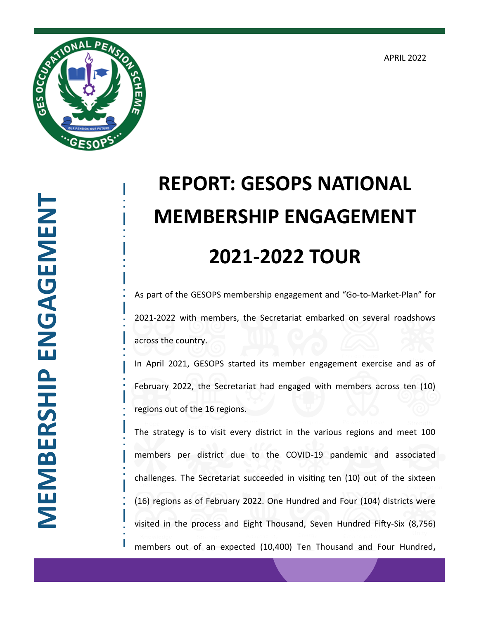APRIL 2022



## **REPORT: GESOPS NATIONAL MEMBERSHIP ENGAGEMENT 2021-2022 TOUR**

As part of the GESOPS membership engagement and "Go-to-Market-Plan" for 2021-2022 with members, the Secretariat embarked on several roadshows across the country.

In April 2021, GESOPS started its member engagement exercise and as of February 2022, the Secretariat had engaged with members across ten (10) regions out of the 16 regions.

The strategy is to visit every district in the various regions and meet 100 members per district due to the COVID-19 pandemic and associated challenges. The Secretariat succeeded in visiting ten (10) out of the sixteen (16) regions as of February 2022. One Hundred and Four (104) districts were visited in the process and Eight Thousand, Seven Hundred Fifty-Six (8,756) members out of an expected (10,400) Ten Thousand and Four Hundred**,**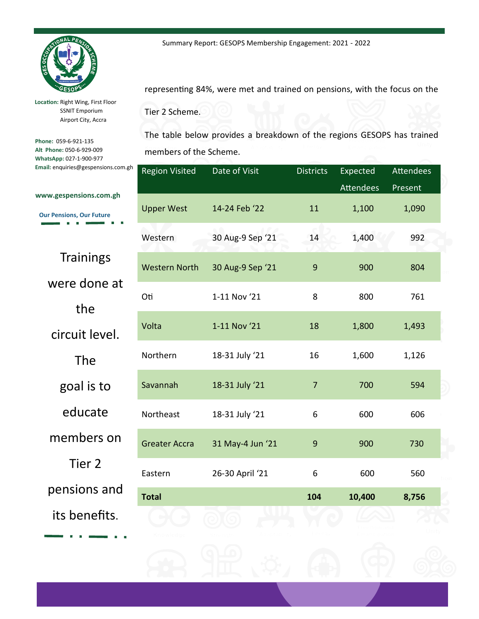

**Location:** Right Wing, First Floor SSNIT Emporium Airport City, Accra

**Phone:** 059-6-921-135 **Alt Phone:** 050-6-929-009 **WhatsApp:** 027-1-900-977 **Email:** enquiries@gespensions.com.gh representing 84%, were met and trained on pensions, with the focus on the

Summary Report: GESOPS Membership Engagement: 2021 - 2022

Tier 2 Scheme.

The table below provides a breakdown of the regions GESOPS has trained members of the Scheme.

| ţh | <b>Region Visited</b> | Date of Visit    | <b>Districts</b> | Expected         | <b>Attendees</b> |
|----|-----------------------|------------------|------------------|------------------|------------------|
|    |                       |                  |                  | <b>Attendees</b> | Present          |
|    | <b>Upper West</b>     | 14-24 Feb '22    | 11               | 1,100            | 1,090            |
|    | Western               | 30 Aug-9 Sep '21 | 14               | 1,400            | 992              |
|    | <b>Western North</b>  | 30 Aug-9 Sep '21 | $\boldsymbol{9}$ | 900              | 804              |
|    | Oti                   | 1-11 Nov '21     | 8                | 800              | 761              |
|    | Volta                 | 1-11 Nov '21     | 18               | 1,800            | 1,493            |
|    | Northern              | 18-31 July '21   | 16               | 1,600            | 1,126            |
|    | Savannah              | 18-31 July '21   | $\overline{7}$   | 700              | 594              |
|    | Northeast             | 18-31 July '21   | 6                | 600              | 606              |
|    | <b>Greater Accra</b>  | 31 May-4 Jun '21 | 9                | 900              | 730              |
|    | Eastern               | 26-30 April '21  | 6                | 600              | 560              |
|    | <b>Total</b>          |                  | 104              | 10,400           | 8,756            |
|    |                       |                  |                  |                  |                  |
|    |                       |                  |                  |                  |                  |

**www.gespensions.com.gh**

**Our Pensions, Our Future**   $\mathbf{B}=\mathbf{B}$ r.

**Trainings** 

were done at

the

circuit level.

The

goal is to

educate

members on

Tier 2

pensions and

its benefits.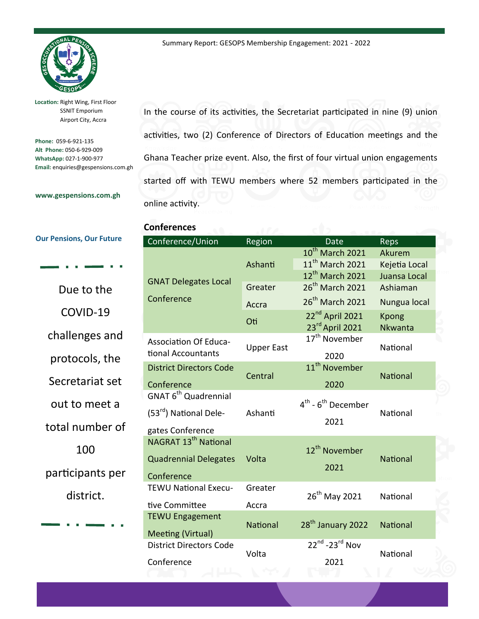

**Location:** Right Wing, First Floor SSNIT Emporium Airport City, Accra

**Phone:** 059-6-921-135 **Alt Phone:** 050-6-929-009 **WhatsApp:** 027-1-900-977 **Email:** enquiries@gespensions.com.gh In the course of its activities, the Secretariat participated in nine (9) union activities, two (2) Conference of Directors of Education meetings and the Ghana Teacher prize event. Also, the first of four virtual union engagements started off with TEWU members where 52 members participated in the online activity.

## **Conferences**

**Our Pensions, Our Future** 

**www.gespensions.com.gh**

Due to the COVID-19 challenges and protocols, the Secretariat set out to meet a total number of 100 participants per district.

| Conference/Union                   | Region            | Date                                       | Reps            |  |
|------------------------------------|-------------------|--------------------------------------------|-----------------|--|
|                                    | Ashanti           | $10^{th}$ March 2021                       | Akurem          |  |
|                                    |                   | 11 <sup>th</sup> March 2021                | Kejetia Local   |  |
| <b>GNAT Delegates Local</b>        |                   | 12 <sup>th</sup> March 2021                | Juansa Local    |  |
|                                    | Greater           | 26 <sup>th</sup> March 2021                | Ashiaman        |  |
| Conference                         | Accra             | 26 <sup>th</sup> March 2021                | Nungua local    |  |
|                                    | Oti               | 22 <sup>nd</sup> April 2021                | Kpong           |  |
|                                    |                   | 23rd April 2021                            | Nkwanta         |  |
| <b>Association Of Educa-</b>       | <b>Upper East</b> | 17 <sup>th</sup> November                  | National        |  |
| tional Accountants                 |                   | 2020                                       |                 |  |
| <b>District Directors Code</b>     | Central           | 11 <sup>th</sup> November                  | <b>National</b> |  |
| Conference                         |                   | 2020                                       |                 |  |
| GNAT 6 <sup>th</sup> Quadrennial   |                   |                                            |                 |  |
|                                    | Ashanti           | $4^{\text{th}}$ - $6^{\text{th}}$ December | National        |  |
| (53 <sup>rd</sup> ) National Dele- |                   | 2021                                       |                 |  |
| gates Conference                   |                   |                                            |                 |  |
| NAGRAT 13 <sup>th</sup> National   |                   |                                            |                 |  |
|                                    | Volta             | 12 <sup>th</sup> November                  |                 |  |
| <b>Quadrennial Delegates</b>       |                   | 2021                                       | <b>National</b> |  |
| Conference                         |                   |                                            |                 |  |
| <b>TEWU National Execu-</b>        | Greater           |                                            | National        |  |
| tive Committee                     | Accra             | 26 <sup>th</sup> May 2021                  |                 |  |
| <b>TEWU Engagement</b>             |                   |                                            | <b>National</b> |  |
|                                    | <b>National</b>   | 28 <sup>th</sup> January 2022              |                 |  |
| <b>Meeting (Virtual)</b>           |                   | $22^{nd}$ -23 $^{rd}$ Nov                  |                 |  |
| <b>District Directors Code</b>     | Volta             |                                            | National        |  |
| Conference                         |                   | 2021                                       |                 |  |
|                                    |                   |                                            |                 |  |

Summary Report: GESOPS Membership Engagement: 2021 - 2022